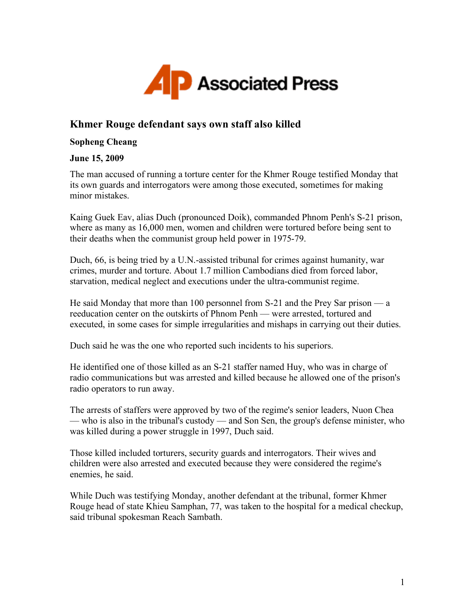

## **Khmer Rouge defendant says own staff also killed**

## **Sopheng Cheang**

## **June 15, 2009**

The man accused of running a torture center for the Khmer Rouge testified Monday that its own guards and interrogators were among those executed, sometimes for making minor mistakes.

Kaing Guek Eav, alias Duch (pronounced Doik), commanded Phnom Penh's S-21 prison, where as many as 16,000 men, women and children were tortured before being sent to their deaths when the communist group held power in 1975-79.

Duch, 66, is being tried by a U.N.-assisted tribunal for crimes against humanity, war crimes, murder and torture. About 1.7 million Cambodians died from forced labor, starvation, medical neglect and executions under the ultra-communist regime.

He said Monday that more than 100 personnel from S-21 and the Prey Sar prison — a reeducation center on the outskirts of Phnom Penh — were arrested, tortured and executed, in some cases for simple irregularities and mishaps in carrying out their duties.

Duch said he was the one who reported such incidents to his superiors.

He identified one of those killed as an S-21 staffer named Huy, who was in charge of radio communications but was arrested and killed because he allowed one of the prison's radio operators to run away.

The arrests of staffers were approved by two of the regime's senior leaders, Nuon Chea — who is also in the tribunal's custody — and Son Sen, the group's defense minister, who was killed during a power struggle in 1997, Duch said.

Those killed included torturers, security guards and interrogators. Their wives and children were also arrested and executed because they were considered the regime's enemies, he said.

While Duch was testifying Monday, another defendant at the tribunal, former Khmer Rouge head of state Khieu Samphan, 77, was taken to the hospital for a medical checkup, said tribunal spokesman Reach Sambath.